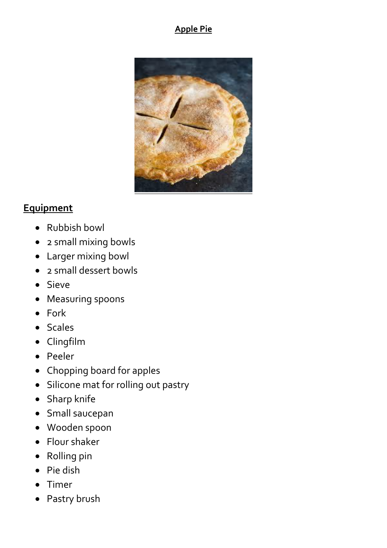#### **Apple Pie**



#### **Equipment**

- Rubbish bowl
- 2 small mixing bowls
- Larger mixing bowl
- 2 small dessert bowls
- Sieve
- Measuring spoons
- Fork
- Scales
- Clingfilm
- Peeler
- Chopping board for apples
- Silicone mat for rolling out pastry
- Sharp knife
- Small saucepan
- Wooden spoon
- Flour shaker
- Rolling pin
- Pie dish
- Timer
- Pastry brush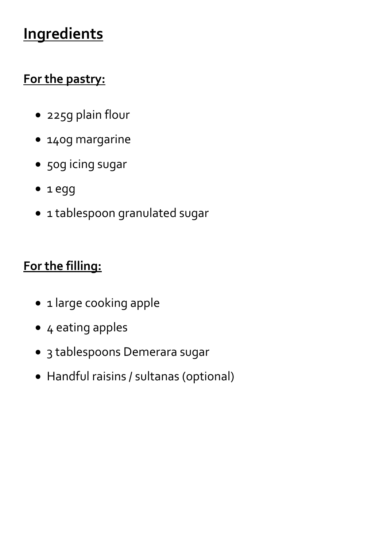# **Ingredients**

## **For the pastry:**

- 225g plain flour
- 140g margarine
- 50g icing sugar
- 1 egg
- 1 tablespoon granulated sugar

# **For the filling:**

- 1 large cooking apple
- 4 eating apples
- 3 tablespoons Demerara sugar
- Handful raisins / sultanas (optional)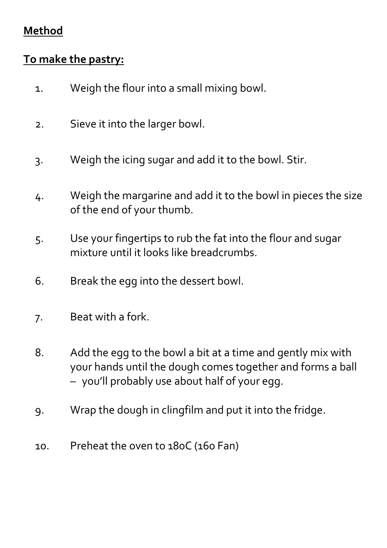### **Method**

### **To make the pastry:**

- 1. Weigh the flour into a small mixing bowl.
- 2. Sieve it into the larger bowl.
- 3. Weigh the icing sugar and add it to the bowl. Stir.
- 4. Weigh the margarine and add it to the bowl in pieces the size of the end of your thumb.
- 5. Use your fingertips to rub the fat into the flour and sugar mixture until it looks like breadcrumbs.
- 6. Break the egg into the dessert bowl.
- 7. Beat with a fork.
- 8. Add the egg to the bowl a bit at a time and gently mix with your hands until the dough comes together and forms a ball – you'll probably use about half of your egg.
- 9. Wrap the dough in clingfilm and put it into the fridge.
- 10. Preheat the oven to 180C (160 Fan)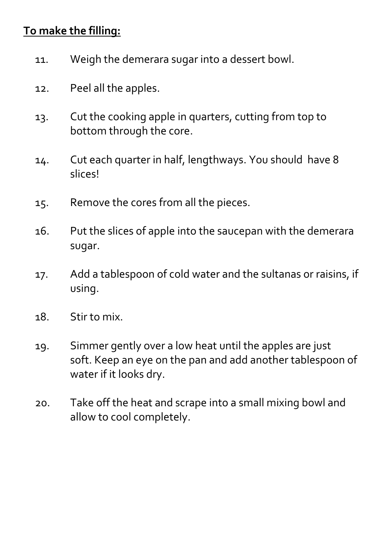### **To make the filling:**

- 11. Weigh the demerara sugar into a dessert bowl.
- 12. Peel all the apples.
- 13. Cut the cooking apple in quarters, cutting from top to bottom through the core.
- 14. Cut each quarter in half, lengthways. You should have 8 slices!
- 15. Remove the cores from all the pieces.
- 16. Put the slices of apple into the saucepan with the demerara sugar.
- 17. Add a tablespoon of cold water and the sultanas or raisins, if using.
- 18. Stir to mix.
- 19. Simmer gently over a low heat until the apples are just soft. Keep an eye on the pan and add another tablespoon of water if it looks dry.
- 20. Take off the heat and scrape into a small mixing bowl and allow to cool completely.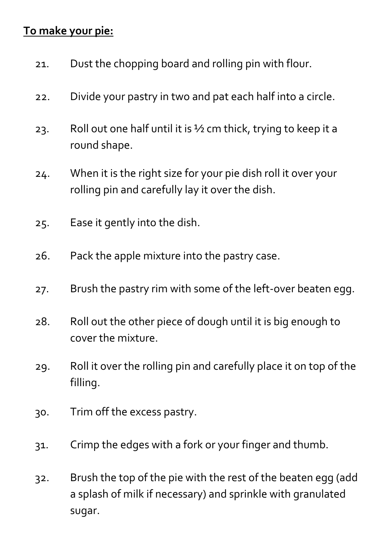### **To make your pie:**

- 21. Dust the chopping board and rolling pin with flour.
- 22. Divide your pastry in two and pat each half into a circle.
- 23. Roll out one half until it is  $\frac{1}{2}$  cm thick, trying to keep it a round shape.
- 24. When it is the right size for your pie dish roll it over your rolling pin and carefully lay it over the dish.
- 25. Ease it gently into the dish.
- 26. Pack the apple mixture into the pastry case.
- 27. Brush the pastry rim with some of the left-over beaten egg.
- 28. Roll out the other piece of dough until it is big enough to cover the mixture.
- 29. Roll it over the rolling pin and carefully place it on top of the filling.
- 30. Trim off the excess pastry.
- 31. Crimp the edges with a fork or your finger and thumb.
- 32. Brush the top of the pie with the rest of the beaten egg (add a splash of milk if necessary) and sprinkle with granulated sugar.